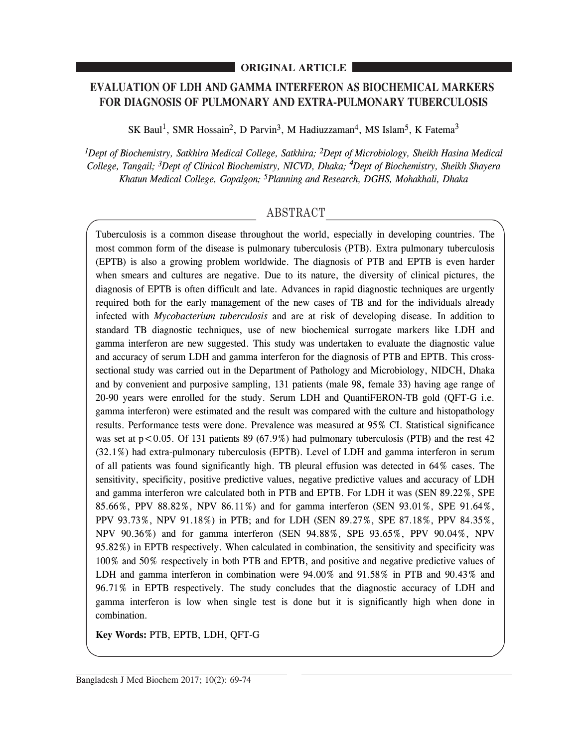## **ORIGINAL ARTICLE**

# **EVALUATION OF LDH AND GAMMA INTERFERON AS BIOCHEMICAL MARKERS FOR DIAGNOSIS OF PULMONARY AND EXTRA-PULMONARY TUBERCULOSIS**

SK Baul<sup>1</sup>, SMR Hossain<sup>2</sup>, D Parvin<sup>3</sup>, M Hadiuzzaman<sup>4</sup>, MS Islam<sup>5</sup>, K Fatema<sup>3</sup>

*1Dept of Biochemistry, Satkhira Medical College, Satkhira; 2Dept of Microbiology, Sheikh Hasina Medical College, Tangail; 3Dept of Clinical Biochemistry, NICVD, Dhaka; <sup>4</sup> Dept of Biochemistry, Sheikh Shayera Khatun Medical College, Gopalgon; 5Planning and Research, DGHS, Mohakhali, Dhaka*

# ABSTRACT

Tuberculosis is a common disease throughout the world, especially in developing countries. The most common form of the disease is pulmonary tuberculosis (PTB). Extra pulmonary tuberculosis (EPTB) is also a growing problem worldwide. The diagnosis of PTB and EPTB is even harder when smears and cultures are negative. Due to its nature, the diversity of clinical pictures, the diagnosis of EPTB is often difficult and late. Advances in rapid diagnostic techniques are urgently required both for the early management of the new cases of TB and for the individuals already infected with *Mycobacterium tuberculosis* and are at risk of developing disease. In addition to standard TB diagnostic techniques, use of new biochemical surrogate markers like LDH and gamma interferon are new suggested. This study was undertaken to evaluate the diagnostic value and accuracy of serum LDH and gamma interferon for the diagnosis of PTB and EPTB. This crosssectional study was carried out in the Department of Pathology and Microbiology, NIDCH, Dhaka and by convenient and purposive sampling, 131 patients (male 98, female 33) having age range of 20-90 years were enrolled for the study. Serum LDH and QuantiFERON-TB gold (QFT-G i.e. gamma interferon) were estimated and the result was compared with the culture and histopathology results. Performance tests were done. Prevalence was measured at 95% CI. Statistical significance was set at  $p < 0.05$ . Of 131 patients 89 (67.9%) had pulmonary tuberculosis (PTB) and the rest 42 (32.1%) had extra-pulmonary tuberculosis (EPTB). Level of LDH and gamma interferon in serum of all patients was found significantly high. TB pleural effusion was detected in 64% cases. The sensitivity, specificity, positive predictive values, negative predictive values and accuracy of LDH and gamma interferon wre calculated both in PTB and EPTB. For LDH it was (SEN 89.22%, SPE 85.66%, PPV 88.82%, NPV 86.11%) and for gamma interferon (SEN 93.01%, SPE 91.64%, PPV 93.73%, NPV 91.18%) in PTB; and for LDH (SEN 89.27%, SPE 87.18%, PPV 84.35%, NPV 90.36%) and for gamma interferon (SEN 94.88%, SPE 93.65%, PPV 90.04%, NPV 95.82%) in EPTB respectively. When calculated in combination, the sensitivity and specificity was 100% and 50% respectively in both PTB and EPTB, and positive and negative predictive values of LDH and gamma interferon in combination were 94.00% and 91.58% in PTB and 90.43% and 96.71% in EPTB respectively. The study concludes that the diagnostic accuracy of LDH and gamma interferon is low when single test is done but it is significantly high when done in combination.

**Key Words:** PTB, EPTB, LDH, QFT-G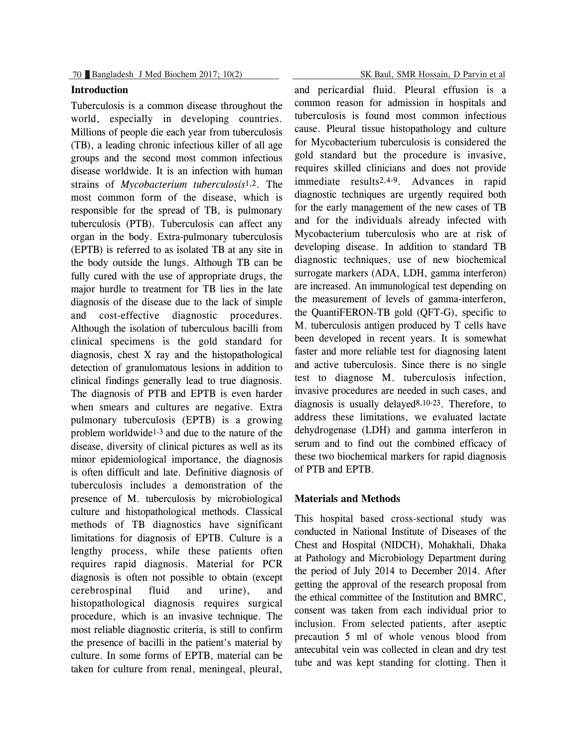# **Introduction**

Tuberculosis is a common disease throughout the world, especially in developing countries. Millions of people die each year from tuberculosis (TB), a leading chronic infectious killer of all age groups and the second most common infectious disease worldwide. It is an infection with human strains of *Mycobacterium tuberculosis*1,2. The most common form of the disease, which is responsible for the spread of TB, is pulmonary tuberculosis (PTB). Tuberculosis can affect any organ in the body. Extra-pulmonary tuberculosis (EPTB) is referred to as isolated TB at any site in the body outside the lungs. Although TB can be fully cured with the use of appropriate drugs, the major hurdle to treatment for TB lies in the late diagnosis of the disease due to the lack of simple and cost-effective diagnostic procedures. Although the isolation of tuberculous bacilli from clinical specimens is the gold standard for diagnosis, chest X ray and the histopathological detection of granulomatous lesions in addition to clinical findings generally lead to true diagnosis. The diagnosis of PTB and EPTB is even harder when smears and cultures are negative. Extra pulmonary tuberculosis (EPTB) is a growing problem worldwide1-3 and due to the nature of the disease, diversity of clinical pictures as well as its minor epidemiological importance, the diagnosis is often difficult and late. Definitive diagnosis of tuberculosis includes a demonstration of the presence of M. tuberculosis by microbiological culture and histopathological methods. Classical methods of TB diagnostics have significant limitations for diagnosis of EPTB. Culture is a lengthy process, while these patients often requires rapid diagnosis. Material for PCR diagnosis is often not possible to obtain (except cerebrospinal fluid and urine), and histopathological diagnosis requires surgical procedure, which is an invasive technique. The most reliable diagnostic criteria, is still to confirm the presence of bacilli in the patient's material by culture. In some forms of EPTB, material can be taken for culture from renal, meningeal, pleural,

and pericardial fluid. Pleural effusion is a common reason for admission in hospitals and tuberculosis is found most common infectious cause. Pleural tissue histopathology and culture for Mycobacterium tuberculosis is considered the gold standard but the procedure is invasive, requires skilled clinicians and does not provide immediate results2,4-9. Advances in rapid diagnostic techniques are urgently required both for the early management of the new cases of TB and for the individuals already infected with Mycobacterium tuberculosis who are at risk of developing disease. In addition to standard TB diagnostic techniques, use of new biochemical surrogate markers (ADA, LDH, gamma interferon) are increased. An immunological test depending on the measurement of levels of gamma-interferon, the QuantiFERON-TB gold (QFT-G), specific to M. tuberculosis antigen produced by T cells have been developed in recent years. It is somewhat faster and more reliable test for diagnosing latent and active tuberculosis. Since there is no single test to diagnose M. tuberculosis infection, invasive procedures are needed in such cases, and diagnosis is usually delayed $8,10-23$ . Therefore, to address these limitations, we evaluated lactate dehydrogenase (LDH) and gamma interferon in serum and to find out the combined efficacy of these two biochemical markers for rapid diagnosis of PTB and EPTB.

#### **Materials and Methods**

This hospital based cross-sectional study was conducted in National Institute of Diseases of the Chest and Hospital (NIDCH), Mohakhali, Dhaka at Pathology and Microbiology Department during the period of July 2014 to December 2014. After getting the approval of the research proposal from the ethical committee of the Institution and BMRC, consent was taken from each individual prior to inclusion. From selected patients, after aseptic precaution 5 ml of whole venous blood from antecubital vein was collected in clean and dry test tube and was kept standing for clotting. Then it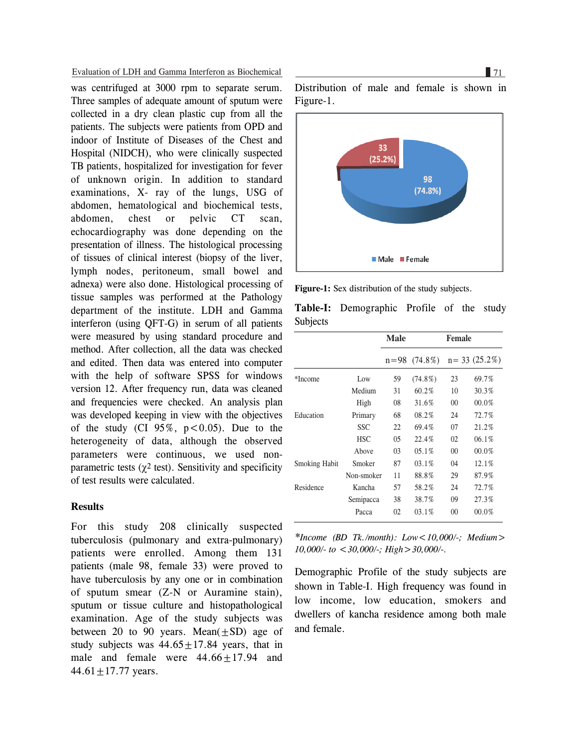Evaluation of LDH and Gamma Interferon as Biochemical 71

was centrifuged at 3000 rpm to separate serum. Three samples of adequate amount of sputum were collected in a dry clean plastic cup from all the patients. The subjects were patients from OPD and indoor of Institute of Diseases of the Chest and Hospital (NIDCH), who were clinically suspected TB patients, hospitalized for investigation for fever of unknown origin. In addition to standard examinations, X- ray of the lungs, USG of abdomen, hematological and biochemical tests, abdomen, chest or pelvic CT scan, echocardiography was done depending on the presentation of illness. The histological processing of tissues of clinical interest (biopsy of the liver, lymph nodes, peritoneum, small bowel and adnexa) were also done. Histological processing of tissue samples was performed at the Pathology department of the institute. LDH and Gamma interferon (using QFT-G) in serum of all patients were measured by using standard procedure and method. After collection, all the data was checked and edited. Then data was entered into computer with the help of software SPSS for windows version 12. After frequency run, data was cleaned and frequencies were checked. An analysis plan was developed keeping in view with the objectives of the study (CI  $95\%$ ,  $p < 0.05$ ). Due to the heterogeneity of data, although the observed parameters were continuous, we used nonparametric tests ( $\gamma^2$  test). Sensitivity and specificity of test results were calculated.

#### **Results**

For this study 208 clinically suspected tuberculosis (pulmonary and extra-pulmonary) patients were enrolled. Among them 131 patients (male 98, female 33) were proved to have tuberculosis by any one or in combination of sputum smear (Z-N or Auramine stain), sputum or tissue culture and histopathological examination. Age of the study subjects was between 20 to 90 years. Mean $(\pm SD)$  age of study subjects was  $44.65 \pm 17.84$  years, that in male and female were  $44.66 + 17.94$  and  $44.61 \pm 17.77$  years.

Distribution of male and female is shown in Figure-1.



**Figure-1:** Sex distribution of the study subjects.

|                      |            | <b>Male</b> |                  | <b>Female</b> |                  |  |  |
|----------------------|------------|-------------|------------------|---------------|------------------|--|--|
|                      |            |             | $n = 98$ (74.8%) |               | $n = 33(25.2\%)$ |  |  |
| *Income              | Low        | 59          | $(74.8\%)$       | 23            | 69.7%            |  |  |
|                      | Medium     | 31          | 60.2%            | 10            | 30.3%            |  |  |
|                      | High       | 08          | 31.6%            | $00\,$        | 00.0%            |  |  |
| Education            | Primary    | 68          | 08.2%            | 24            | 72.7%            |  |  |
|                      | <b>SSC</b> | 22          | 69.4%            | 07            | 21.2%            |  |  |
|                      | <b>HSC</b> | 05          | 22.4%            | 02            | 06.1%            |  |  |
|                      | Above      | 03          | 05.1%            | $00\,$        | 00.0%            |  |  |
| <b>Smoking Habit</b> | Smoker     | 87          | 03.1%            | 04            | 12.1%            |  |  |
|                      | Non-smoker | 11          | 88.8%            | 29            | 87.9%            |  |  |
| Residence            | Kancha     | 57          | 58.2%            | 24            | 72.7%            |  |  |
|                      | Semipacca  | 38          | 38.7%            | 09            | 27.3%            |  |  |

**Table-I:** Demographic Profile of the study

*\*Income (BD Tk./month): Low<10,000/-; Medium> 10,000/- to <30,000/-; High>30,000/-.*

 $02$ 

03.1%

 $0<sup>0</sup>$ 

00.0%

Pacca

Demographic Profile of the study subjects are shown in Table-I. High frequency was found in low income, low education, smokers and dwellers of kancha residence among both male and female.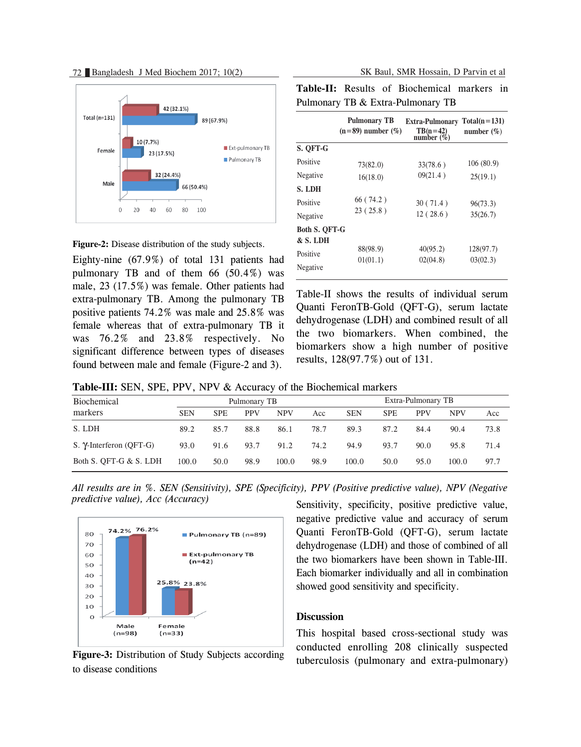72 Bangladesh J Med Biochem 2017; 10(2) SK Baul, SMR Hossain, D Parvin et al



**Figure-2:** Disease distribution of the study subjects.

Eighty-nine (67.9%) of total 131 patients had pulmonary TB and of them  $66$   $(50.4\%)$  was male, 23 (17.5%) was female. Other patients had extra-pulmonary TB. Among the pulmonary TB positive patients 74.2% was male and 25.8% was female whereas that of extra-pulmonary TB it was 76.2% and 23.8% respectively. No significant difference between types of diseases found between male and female (Figure-2 and 3).

|                                   |  |  | <b>Table-II:</b> Results of Biochemical markers in |  |  |  |  |
|-----------------------------------|--|--|----------------------------------------------------|--|--|--|--|
| Pulmonary TB & Extra-Pulmonary TB |  |  |                                                    |  |  |  |  |

|                                  | <b>Pulmonary TB</b><br>$(n=89)$ number $(\%)$ | Extra-Pulmonary<br>$TB(n=42)$<br>number $(\% )$ | $Total(n=131)$<br>number $(\% )$ |  |
|----------------------------------|-----------------------------------------------|-------------------------------------------------|----------------------------------|--|
| S. QFT-G                         |                                               |                                                 |                                  |  |
| Positive                         | 73(82.0)                                      | 33(78.6)                                        | 106(80.9)                        |  |
| Negative                         | 16(18.0)                                      | 09(21.4)                                        | 25(19.1)                         |  |
| S. LDH                           |                                               |                                                 |                                  |  |
| Positive                         | 66(74.2)                                      | 30(71.4)                                        | 96(73.3)                         |  |
| Negative                         | 23(25.8)                                      | 12(28.6)                                        | 35(26.7)                         |  |
| <b>Both S. OFT-G</b><br>& S. LDH |                                               |                                                 |                                  |  |
| Positive                         | 88(98.9)                                      | 40(95.2)                                        | 128(97.7)                        |  |
| Negative                         | 01(01.1)                                      | 02(04.8)                                        | 03(02.3)                         |  |

Table-II shows the results of individual serum Quanti FeronTB-Gold (QFT-G), serum lactate dehydrogenase (LDH) and combined result of all the two biomarkers. When combined, the biomarkers show a high number of positive results, 128(97.7%) out of 131.

**Table-III:** SEN, SPE, PPV, NPV & Accuracy of the Biochemical markers

| Biochemical             |            | Pulmonary TB |            |            |      | Extra-Pulmonary TB |            |            |            |      |
|-------------------------|------------|--------------|------------|------------|------|--------------------|------------|------------|------------|------|
| markers                 | <b>SEN</b> | <b>SPE</b>   | <b>PPV</b> | <b>NPV</b> | Acc  | <b>SEN</b>         | <b>SPE</b> | <b>PPV</b> | <b>NPV</b> | Acc  |
| S. LDH                  | 89.2       | 85.7         | 88.8       | 86.1       | 78.7 | 89.3               | 87.2       | 84.4       | 90.4       | 73.8 |
| S. γ-Interferon (QFT-G) | 93.0       | 91.6         | 93.7       | 91.2       | 74.2 | 94.9               | 93.7       | 90.0       | 95.8       | 71.4 |
| Both S. QFT-G & S. LDH  | 100.0      | 50.0         | 98.9       | 100.0      | 98.9 | 100.0              | 50.0       | 95.0       | 100.0      | 97.7 |

*All results are in %. SEN (Sensitivity), SPE (Specificity), PPV (Positive predictive value), NPV (Negative predictive value), Acc (Accuracy)*



**Figure-3:** Distribution of Study Subjects according to disease conditions

Sensitivity, specificity, positive predictive value, negative predictive value and accuracy of serum Quanti FeronTB-Gold (QFT-G), serum lactate dehydrogenase (LDH) and those of combined of all the two biomarkers have been shown in Table-III. Each biomarker individually and all in combination showed good sensitivity and specificity.

## **Discussion**

This hospital based cross-sectional study was conducted enrolling 208 clinically suspected tuberculosis (pulmonary and extra-pulmonary)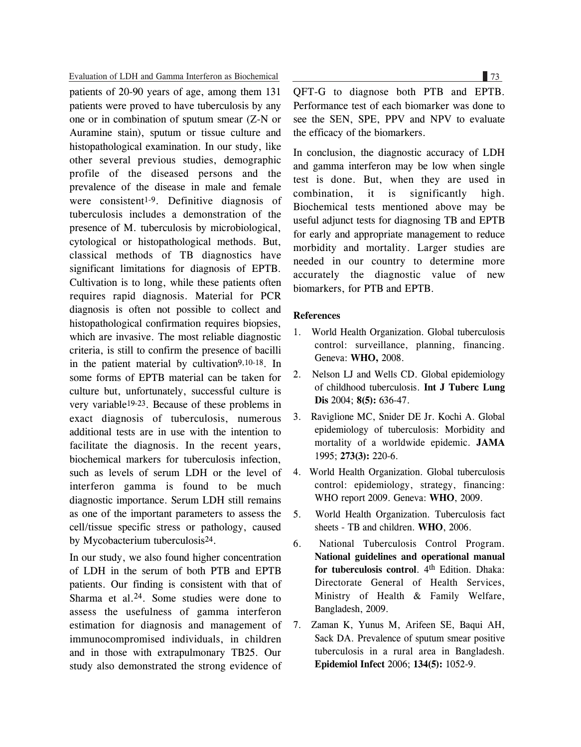Evaluation of LDH and Gamma Interferon as Biochemical 73

patients of 20-90 years of age, among them 131 patients were proved to have tuberculosis by any one or in combination of sputum smear (Z-N or Auramine stain), sputum or tissue culture and histopathological examination. In our study, like other several previous studies, demographic profile of the diseased persons and the prevalence of the disease in male and female were consistent1-9. Definitive diagnosis of tuberculosis includes a demonstration of the presence of M. tuberculosis by microbiological, cytological or histopathological methods. But, classical methods of TB diagnostics have significant limitations for diagnosis of EPTB. Cultivation is to long, while these patients often requires rapid diagnosis. Material for PCR diagnosis is often not possible to collect and histopathological confirmation requires biopsies, which are invasive. The most reliable diagnostic criteria, is still to confirm the presence of bacilli in the patient material by cultivation9,10-18. In some forms of EPTB material can be taken for culture but, unfortunately, successful culture is very variable19-23. Because of these problems in exact diagnosis of tuberculosis, numerous additional tests are in use with the intention to facilitate the diagnosis. In the recent years, biochemical markers for tuberculosis infection, such as levels of serum LDH or the level of interferon gamma is found to be much diagnostic importance. Serum LDH still remains as one of the important parameters to assess the cell/tissue specific stress or pathology, caused by Mycobacterium tuberculosis24.

In our study, we also found higher concentration of LDH in the serum of both PTB and EPTB patients. Our finding is consistent with that of Sharma et al.<sup>24</sup>. Some studies were done to assess the usefulness of gamma interferon estimation for diagnosis and management of immunocompromised individuals, in children and in those with extrapulmonary TB25. Our study also demonstrated the strong evidence of

QFT-G to diagnose both PTB and EPTB. Performance test of each biomarker was done to see the SEN, SPE, PPV and NPV to evaluate the efficacy of the biomarkers.

In conclusion, the diagnostic accuracy of LDH and gamma interferon may be low when single test is done. But, when they are used in combination, it is significantly high. Biochemical tests mentioned above may be useful adjunct tests for diagnosing TB and EPTB for early and appropriate management to reduce morbidity and mortality. Larger studies are needed in our country to determine more accurately the diagnostic value of new biomarkers, for PTB and EPTB.

### **References**

- 1. World Health Organization. Global tuberculosis control: surveillance, planning, financing. Geneva: **WHO,** 2008.
- 2. Nelson LJ and Wells CD. Global epidemiology of childhood tuberculosis. **Int J Tuberc Lung Dis** 2004; **8(5):** 636-47.
- 3. Raviglione MC, Snider DE Jr. Kochi A. Global epidemiology of tuberculosis: Morbidity and mortality of a worldwide epidemic. **JAMA** 1995; **273(3):** 220-6.
- 4. World Health Organization. Global tuberculosis control: epidemiology, strategy, financing: WHO report 2009. Geneva: **WHO**, 2009.
- 5. World Health Organization. Tuberculosis fact sheets - TB and children. **WHO**, 2006.
- 6. National Tuberculosis Control Program. **National guidelines and operational manual for tuberculosis control**. 4th Edition. Dhaka: Directorate General of Health Services, Ministry of Health & Family Welfare, Bangladesh, 2009.
- 7. Zaman K, Yunus M, Arifeen SE, Baqui AH, Sack DA. Prevalence of sputum smear positive tuberculosis in a rural area in Bangladesh. **Epidemiol Infect** 2006; **134(5):** 1052-9.